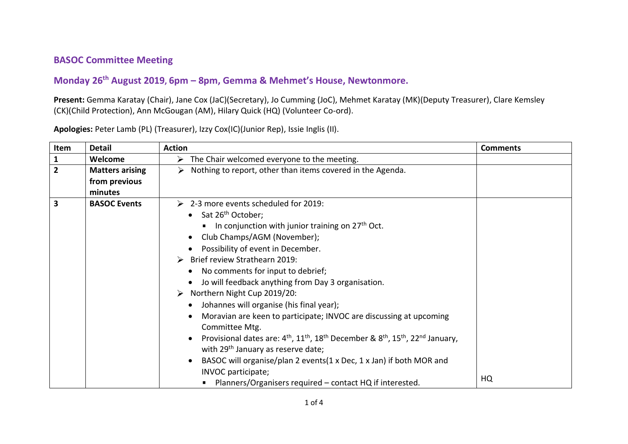## **BASOC Committee Meeting**

## **Monday 26th August 2019, 6pm – 8pm, Gemma & Mehmet's House, Newtonmore.**

**Present:** Gemma Karatay (Chair), Jane Cox (JaC)(Secretary), Jo Cumming (JoC), Mehmet Karatay (MK)(Deputy Treasurer), Clare Kemsley (CK)(Child Protection), Ann McGougan (AM), Hilary Quick (HQ) (Volunteer Co-ord).

| Item                    | <b>Detail</b>                                      | <b>Action</b>                                                                                                                                                                                                                                                                                                                                                                                                                                                                                                                                                                                                                                                                                                                                                                                                                                                                        | <b>Comments</b> |
|-------------------------|----------------------------------------------------|--------------------------------------------------------------------------------------------------------------------------------------------------------------------------------------------------------------------------------------------------------------------------------------------------------------------------------------------------------------------------------------------------------------------------------------------------------------------------------------------------------------------------------------------------------------------------------------------------------------------------------------------------------------------------------------------------------------------------------------------------------------------------------------------------------------------------------------------------------------------------------------|-----------------|
| $\mathbf{1}$            | Welcome                                            | $\triangleright$ The Chair welcomed everyone to the meeting.                                                                                                                                                                                                                                                                                                                                                                                                                                                                                                                                                                                                                                                                                                                                                                                                                         |                 |
| $\overline{2}$          | <b>Matters arising</b><br>from previous<br>minutes | Nothing to report, other than items covered in the Agenda.<br>➤                                                                                                                                                                                                                                                                                                                                                                                                                                                                                                                                                                                                                                                                                                                                                                                                                      |                 |
| $\overline{\mathbf{3}}$ | <b>BASOC Events</b>                                | $\geq$ 2-3 more events scheduled for 2019:<br>• Sat $26th$ October;<br>In conjunction with junior training on $27th$ Oct.<br>Club Champs/AGM (November);<br>Possibility of event in December.<br>$\triangleright$ Brief review Strathearn 2019:<br>No comments for input to debrief;<br>Jo will feedback anything from Day 3 organisation.<br>> Northern Night Cup 2019/20:<br>Johannes will organise (his final year);<br>Moravian are keen to participate; INVOC are discussing at upcoming<br>Committee Mtg.<br>Provisional dates are: 4 <sup>th</sup> , 11 <sup>th</sup> , 18 <sup>th</sup> December & 8 <sup>th</sup> , 15 <sup>th</sup> , 22 <sup>nd</sup> January,<br>with 29 <sup>th</sup> January as reserve date;<br>BASOC will organise/plan 2 events(1 x Dec, 1 x Jan) if both MOR and<br>INVOC participate;<br>Planners/Organisers required – contact HQ if interested. | HQ              |

**Apologies:** Peter Lamb (PL) (Treasurer), Izzy Cox(IC)(Junior Rep), Issie Inglis (II).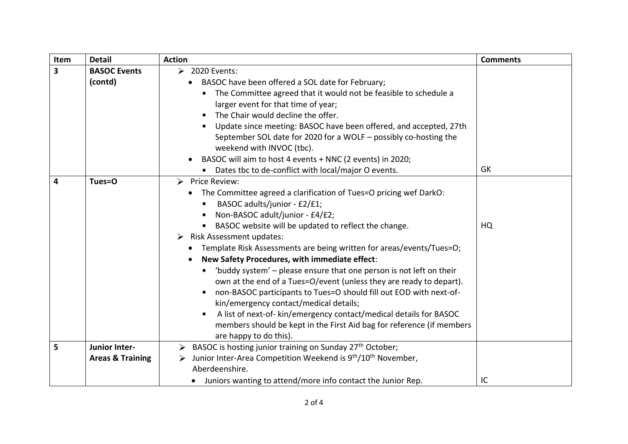| Item                    | <b>Detail</b>                                                                                                                                                                                                                                                                                                                                                                                                                                                                                                                                                                                                                                                                                                                                                                                                                             | <b>Action</b>                                                                                                                                                                                                                                                                                                                                                                                                                        | <b>Comments</b> |
|-------------------------|-------------------------------------------------------------------------------------------------------------------------------------------------------------------------------------------------------------------------------------------------------------------------------------------------------------------------------------------------------------------------------------------------------------------------------------------------------------------------------------------------------------------------------------------------------------------------------------------------------------------------------------------------------------------------------------------------------------------------------------------------------------------------------------------------------------------------------------------|--------------------------------------------------------------------------------------------------------------------------------------------------------------------------------------------------------------------------------------------------------------------------------------------------------------------------------------------------------------------------------------------------------------------------------------|-----------------|
| $\overline{\mathbf{3}}$ | <b>BASOC Events</b><br>$\geq$ 2020 Events:                                                                                                                                                                                                                                                                                                                                                                                                                                                                                                                                                                                                                                                                                                                                                                                                |                                                                                                                                                                                                                                                                                                                                                                                                                                      |                 |
|                         | (contd)                                                                                                                                                                                                                                                                                                                                                                                                                                                                                                                                                                                                                                                                                                                                                                                                                                   | BASOC have been offered a SOL date for February;<br>The Committee agreed that it would not be feasible to schedule a<br>larger event for that time of year;<br>The Chair would decline the offer.<br>Update since meeting: BASOC have been offered, and accepted, 27th<br>September SOL date for 2020 for a WOLF - possibly co-hosting the<br>weekend with INVOC (tbc).<br>BASOC will aim to host 4 events + NNC (2 events) in 2020; |                 |
|                         |                                                                                                                                                                                                                                                                                                                                                                                                                                                                                                                                                                                                                                                                                                                                                                                                                                           | Dates tbc to de-conflict with local/major O events.                                                                                                                                                                                                                                                                                                                                                                                  | GK              |
| 4                       | Tues=O<br>$\triangleright$ Price Review:<br>The Committee agreed a clarification of Tues=O pricing wef DarkO:<br>BASOC adults/junior - £2/£1;<br>Non-BASOC adult/junior - £4/£2;<br>BASOC website will be updated to reflect the change.<br>Risk Assessment updates:<br>➤<br>Template Risk Assessments are being written for areas/events/Tues=O;<br>New Safety Procedures, with immediate effect:<br>'buddy system' - please ensure that one person is not left on their<br>own at the end of a Tues=O/event (unless they are ready to depart).<br>non-BASOC participants to Tues=O should fill out EOD with next-of-<br>kin/emergency contact/medical details;<br>A list of next-of- kin/emergency contact/medical details for BASOC<br>members should be kept in the First Aid bag for reference (if members<br>are happy to do this). |                                                                                                                                                                                                                                                                                                                                                                                                                                      | HQ              |
| 5                       | <b>Junior Inter-</b><br><b>Areas &amp; Training</b>                                                                                                                                                                                                                                                                                                                                                                                                                                                                                                                                                                                                                                                                                                                                                                                       | $\triangleright$ BASOC is hosting junior training on Sunday 27 <sup>th</sup> October;<br>Junior Inter-Area Competition Weekend is 9 <sup>th</sup> /10 <sup>th</sup> November,<br>➤<br>Aberdeenshire.<br>• Juniors wanting to attend/more info contact the Junior Rep.                                                                                                                                                                |                 |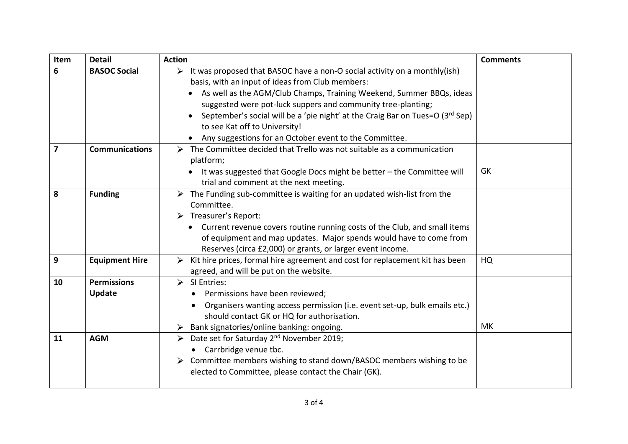| Item                    | <b>Detail</b>                | <b>Action</b>                                                                                                                                                                                                                                                                                                                                                                                                                                                        | <b>Comments</b> |
|-------------------------|------------------------------|----------------------------------------------------------------------------------------------------------------------------------------------------------------------------------------------------------------------------------------------------------------------------------------------------------------------------------------------------------------------------------------------------------------------------------------------------------------------|-----------------|
| 6                       | <b>BASOC Social</b>          | $\triangleright$ It was proposed that BASOC have a non-O social activity on a monthly(ish)<br>basis, with an input of ideas from Club members:<br>As well as the AGM/Club Champs, Training Weekend, Summer BBQs, ideas<br>suggested were pot-luck suppers and community tree-planting;<br>September's social will be a 'pie night' at the Craig Bar on Tues=O (3rd Sep)<br>to see Kat off to University!<br>• Any suggestions for an October event to the Committee. |                 |
| $\overline{\mathbf{z}}$ | <b>Communications</b>        | The Committee decided that Trello was not suitable as a communication<br>➤<br>platform;<br>It was suggested that Google Docs might be better - the Committee will<br>trial and comment at the next meeting.                                                                                                                                                                                                                                                          | GK              |
| 8                       | <b>Funding</b>               | $\triangleright$ The Funding sub-committee is waiting for an updated wish-list from the<br>Committee.<br>$\triangleright$ Treasurer's Report:<br>• Current revenue covers routine running costs of the Club, and small items<br>of equipment and map updates. Major spends would have to come from<br>Reserves (circa £2,000) or grants, or larger event income.                                                                                                     |                 |
| 9                       | <b>Equipment Hire</b>        | Kit hire prices, formal hire agreement and cost for replacement kit has been<br>➤<br>agreed, and will be put on the website.                                                                                                                                                                                                                                                                                                                                         | HQ              |
| 10                      | <b>Permissions</b><br>Update | $\triangleright$ SI Entries:<br>Permissions have been reviewed;<br>Organisers wanting access permission (i.e. event set-up, bulk emails etc.)<br>should contact GK or HQ for authorisation.<br>Bank signatories/online banking: ongoing.                                                                                                                                                                                                                             | MK              |
| 11                      | <b>AGM</b>                   | > Date set for Saturday 2 <sup>nd</sup> November 2019;<br>Carrbridge venue tbc.<br>Committee members wishing to stand down/BASOC members wishing to be<br>➤<br>elected to Committee, please contact the Chair (GK).                                                                                                                                                                                                                                                  |                 |